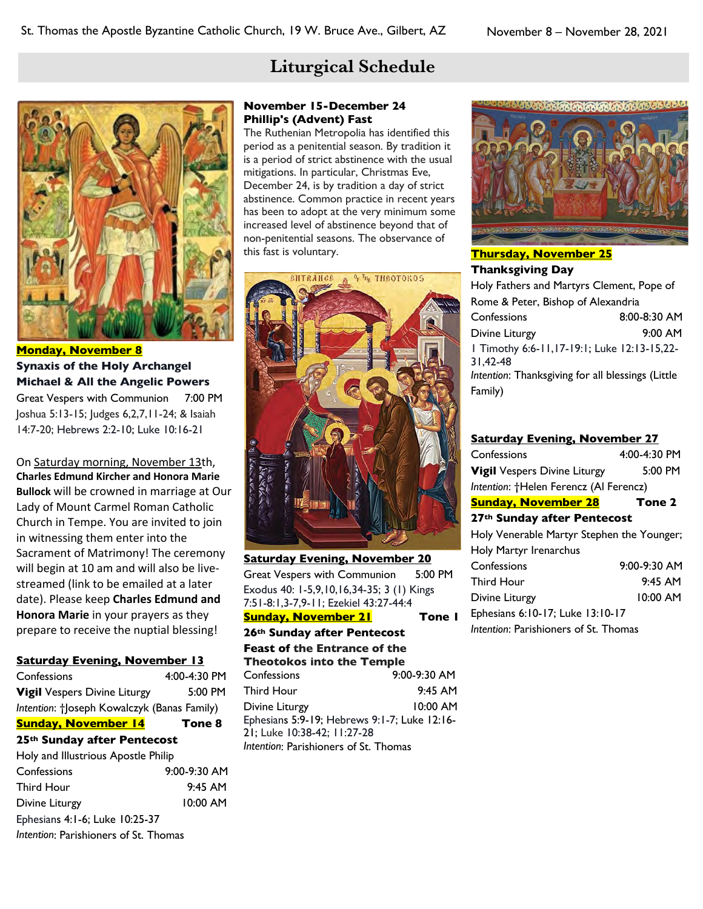# **Liturgical Schedule**



**Monday, November 8 Synaxis of the Holy Archangel Michael & All the Angelic Powers** Great Vespers with Communion 7:00 PM Joshua 5:13-15; Judges 6,2,7,11-24; & Isaiah 14:7-20; Hebrews 2:2-10; Luke 10:16-21

On Saturday morning, November 13th, **Charles Edmund Kircher and Honora Marie Bullock** will be crowned in marriage at Our Lady of Mount Carmel Roman Catholic Church in Tempe. You are invited to join in witnessing them enter into the Sacrament of Matrimony! The ceremony will begin at 10 am and will also be livestreamed (link to be emailed at a later date). Please keep **Charles Edmund and Honora Marie** in your prayers as they prepare to receive the nuptial blessing!

#### **Saturday Evening, November 13**

| Confessions                                 | $4:00 - 4:30$ PM |  |
|---------------------------------------------|------------------|--|
| <b>Vigil</b> Vespers Divine Liturgy         | 5:00 PM          |  |
| Intention: †Joseph Kowalczyk (Banas Family) |                  |  |
| <b>Sunday, November 14</b>                  | Tone 8           |  |
| 25th Sunday after Pentecost                 |                  |  |
| Holy and Illustrious Apostle Philip         |                  |  |
| Confessions                                 | $9:00 - 9:30$ AM |  |
| <b>Third Hour</b>                           | $9:45$ AM        |  |
| Divine Liturgy                              | 10:00 AM         |  |
| Ephesians 4:1-6; Luke 10:25-37              |                  |  |
| Intention: Parishioners of St. Thomas       |                  |  |

## **November 15-December 24 Phillip's (Advent) Fast**

The Ruthenian Metropolia has identified this period as a penitential season. By tradition it is a period of strict abstinence with the usual mitigations. In particular, Christmas Eve, December 24, is by tradition a day of strict abstinence. Common practice in recent years has been to adopt at the very minimum some increased level of abstinence beyond that of non-penitential seasons. The observance of this fast is voluntary.



**Saturday Evening, November 20** Great Vespers with Communion 5:00 PM Exodus 40: 1-5,9,10,16,34-35; 3 (1) Kings 7:51-8:1,3-7,9-11; Ezekiel 43:27-44:4 **Sunday, November 21 Tone 1**

## **26th Sunday after Pentecost**

**Feast of the Entrance of the Theotokos into the Temple**

| Confessions                                  | $9:00-9:30$ AM |
|----------------------------------------------|----------------|
| Third Hour                                   | $9:45$ AM      |
| Divine Liturgy                               | $10:00$ AM     |
| Ephesians 5:9-19; Hebrews 9:1-7; Luke 12:16- |                |
| 21; Luke 10:38-42; 11:27-28                  |                |
| Intention: Parishioners of St. Thomas        |                |



## **Thursday, November 25 Thanksgiving Day** Holy Fathers and Martyrs Clement, Pope of Rome & Peter, Bishop of Alexandria Confessions 8:00-8:30 AM Divine Liturgy 9:00 AM 1 Timothy 6:6-11,17-19:1; Luke 12:13-15,22- 31,42-48 *Intention*: Thanksgiving for all blessings (Little Family)

## **Saturday Evening, November 27**

| Confessions                                | $4.00 - 4.30$ PM |  |
|--------------------------------------------|------------------|--|
| <b>Vigil</b> Vespers Divine Liturgy        | $5:00$ PM        |  |
| Intention: †Helen Ferencz (Al Ferencz)     |                  |  |
| <b>Sunday, November 28</b>                 | Tone 2           |  |
| 27th Sunday after Pentecost                |                  |  |
| Holy Venerable Martyr Stephen the Younger; |                  |  |
| Holy Martyr Irenarchus                     |                  |  |
| Confessions                                | $9:00-9:30$ AM   |  |
| <b>Third Hour</b>                          | $9:45$ AM        |  |
| Divine Liturgy                             | 10:00 AM         |  |
| Ephesians 6:10-17; Luke 13:10-17           |                  |  |
| Intention: Parishioners of St. Thomas      |                  |  |